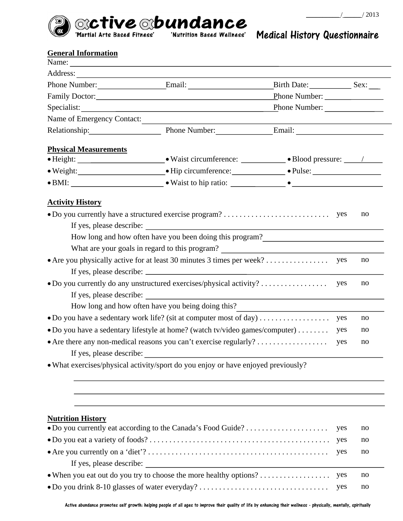



## Medical History Questionnaire

## **General Information**

|                                                                                                                                                                                     | Name: $\frac{1}{\sqrt{1-\frac{1}{2}}}\left\{ \frac{1}{2}, \frac{1}{2}, \frac{1}{2}, \frac{1}{2}, \frac{1}{2}, \frac{1}{2}, \frac{1}{2}, \frac{1}{2}, \frac{1}{2}, \frac{1}{2}, \frac{1}{2}, \frac{1}{2}, \frac{1}{2}, \frac{1}{2}, \frac{1}{2}, \frac{1}{2}, \frac{1}{2}, \frac{1}{2}, \frac{1}{2}, \frac{1}{2}, \frac{1}{2}, \frac{1}{2}, \frac{1}{2}, \frac{1}{2}, \frac{1}{2}, \frac{1}{2}, \frac{1}{2}, \frac{1}{$ |               |    |
|-------------------------------------------------------------------------------------------------------------------------------------------------------------------------------------|------------------------------------------------------------------------------------------------------------------------------------------------------------------------------------------------------------------------------------------------------------------------------------------------------------------------------------------------------------------------------------------------------------------------|---------------|----|
|                                                                                                                                                                                     |                                                                                                                                                                                                                                                                                                                                                                                                                        |               |    |
|                                                                                                                                                                                     |                                                                                                                                                                                                                                                                                                                                                                                                                        |               |    |
|                                                                                                                                                                                     |                                                                                                                                                                                                                                                                                                                                                                                                                        |               |    |
|                                                                                                                                                                                     |                                                                                                                                                                                                                                                                                                                                                                                                                        | Phone Number: |    |
| Name of Emergency Contact:                                                                                                                                                          |                                                                                                                                                                                                                                                                                                                                                                                                                        |               |    |
|                                                                                                                                                                                     | Relationship: Phone Number: Email: Email:                                                                                                                                                                                                                                                                                                                                                                              |               |    |
| <b>Physical Measurements</b>                                                                                                                                                        |                                                                                                                                                                                                                                                                                                                                                                                                                        |               |    |
|                                                                                                                                                                                     |                                                                                                                                                                                                                                                                                                                                                                                                                        |               |    |
|                                                                                                                                                                                     | • Weight: Net of the Meridian Contract of Hip circumference: Net of Pulse: Net of Pulse:                                                                                                                                                                                                                                                                                                                               |               |    |
|                                                                                                                                                                                     |                                                                                                                                                                                                                                                                                                                                                                                                                        |               |    |
|                                                                                                                                                                                     | How long and how often have you been doing this program?<br><u>Low long</u> and how often have you been doing this program?<br>What are your goals in regard to this program?                                                                                                                                                                                                                                          |               |    |
|                                                                                                                                                                                     |                                                                                                                                                                                                                                                                                                                                                                                                                        |               | no |
| If yes, please describe:                                                                                                                                                            | How long and how often have you being doing this?                                                                                                                                                                                                                                                                                                                                                                      | yes           | no |
|                                                                                                                                                                                     |                                                                                                                                                                                                                                                                                                                                                                                                                        | yes           | no |
| • Do you have a sedentary work life? (sit at computer most of day) $\dots\dots\dots\dots\dots\dots$<br>• Do you have a sedentary lifestyle at home? (watch tv/video games/computer) |                                                                                                                                                                                                                                                                                                                                                                                                                        | yes           | no |
| • Are there any non-medical reasons you can't exercise regularly?                                                                                                                   |                                                                                                                                                                                                                                                                                                                                                                                                                        |               | no |
| If yes, please describe:                                                                                                                                                            |                                                                                                                                                                                                                                                                                                                                                                                                                        | yes           |    |
|                                                                                                                                                                                     | • What exercises/physical activity/sport do you enjoy or have enjoyed previously?                                                                                                                                                                                                                                                                                                                                      |               |    |

## **Nutrition History**

|                                                                                                                           |  | no |
|---------------------------------------------------------------------------------------------------------------------------|--|----|
|                                                                                                                           |  | no |
|                                                                                                                           |  | no |
| If yes, please describe:                                                                                                  |  |    |
| • When you eat out do you try to choose the more healthy options? $\dots$ $\dots$ $\dots$ $\dots$ $\dots$ $\dots$ $\dots$ |  | no |
|                                                                                                                           |  | no |